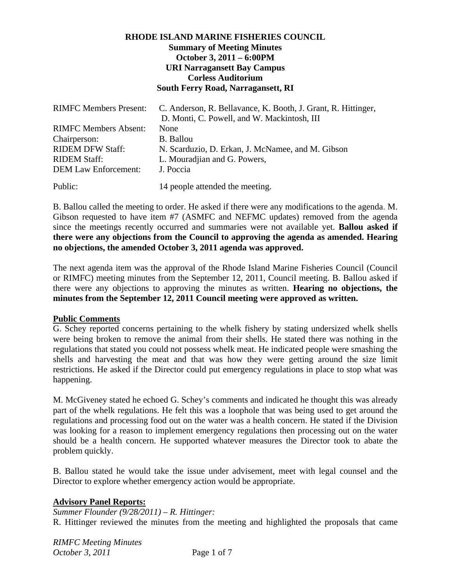## **RHODE ISLAND MARINE FISHERIES COUNCIL Summary of Meeting Minutes October 3, 2011 – 6:00PM URI Narragansett Bay Campus Corless Auditorium South Ferry Road, Narragansett, RI**

| <b>RIMFC Members Present:</b> | C. Anderson, R. Bellavance, K. Booth, J. Grant, R. Hittinger,<br>D. Monti, C. Powell, and W. Mackintosh, III |
|-------------------------------|--------------------------------------------------------------------------------------------------------------|
|                               |                                                                                                              |
| <b>RIMFC Members Absent:</b>  | None                                                                                                         |
| Chairperson:                  | <b>B.</b> Ballou                                                                                             |
| <b>RIDEM DFW Staff:</b>       | N. Scarduzio, D. Erkan, J. McNamee, and M. Gibson                                                            |
| <b>RIDEM Staff:</b>           | L. Mouradjian and G. Powers,                                                                                 |
| <b>DEM Law Enforcement:</b>   | J. Poccia                                                                                                    |
| Public:                       | 14 people attended the meeting.                                                                              |

B. Ballou called the meeting to order. He asked if there were any modifications to the agenda. M. Gibson requested to have item #7 (ASMFC and NEFMC updates) removed from the agenda since the meetings recently occurred and summaries were not available yet. **Ballou asked if there were any objections from the Council to approving the agenda as amended. Hearing no objections, the amended October 3, 2011 agenda was approved.**

The next agenda item was the approval of the Rhode Island Marine Fisheries Council (Council or RIMFC) meeting minutes from the September 12, 2011, Council meeting. B. Ballou asked if there were any objections to approving the minutes as written. **Hearing no objections, the minutes from the September 12, 2011 Council meeting were approved as written.**

#### **Public Comments**

G. Schey reported concerns pertaining to the whelk fishery by stating undersized whelk shells were being broken to remove the animal from their shells. He stated there was nothing in the regulations that stated you could not possess whelk meat. He indicated people were smashing the shells and harvesting the meat and that was how they were getting around the size limit restrictions. He asked if the Director could put emergency regulations in place to stop what was happening.

M. McGiveney stated he echoed G. Schey's comments and indicated he thought this was already part of the whelk regulations. He felt this was a loophole that was being used to get around the regulations and processing food out on the water was a health concern. He stated if the Division was looking for a reason to implement emergency regulations then processing out on the water should be a health concern. He supported whatever measures the Director took to abate the problem quickly.

B. Ballou stated he would take the issue under advisement, meet with legal counsel and the Director to explore whether emergency action would be appropriate.

#### **Advisory Panel Reports:**

*Summer Flounder (9/28/2011) – R. Hittinger:*  R. Hittinger reviewed the minutes from the meeting and highlighted the proposals that came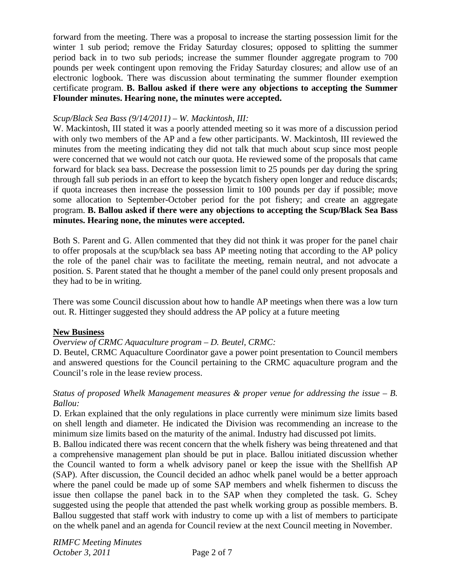forward from the meeting. There was a proposal to increase the starting possession limit for the winter 1 sub period; remove the Friday Saturday closures; opposed to splitting the summer period back in to two sub periods; increase the summer flounder aggregate program to 700 pounds per week contingent upon removing the Friday Saturday closures; and allow use of an electronic logbook. There was discussion about terminating the summer flounder exemption certificate program. **B. Ballou asked if there were any objections to accepting the Summer Flounder minutes. Hearing none, the minutes were accepted.**

## *Scup/Black Sea Bass (9/14/2011) – W. Mackintosh, III:*

W. Mackintosh, III stated it was a poorly attended meeting so it was more of a discussion period with only two members of the AP and a few other participants. W. Mackintosh, III reviewed the minutes from the meeting indicating they did not talk that much about scup since most people were concerned that we would not catch our quota. He reviewed some of the proposals that came forward for black sea bass. Decrease the possession limit to 25 pounds per day during the spring through fall sub periods in an effort to keep the bycatch fishery open longer and reduce discards; if quota increases then increase the possession limit to 100 pounds per day if possible; move some allocation to September-October period for the pot fishery; and create an aggregate program. **B. Ballou asked if there were any objections to accepting the Scup/Black Sea Bass minutes. Hearing none, the minutes were accepted.**

Both S. Parent and G. Allen commented that they did not think it was proper for the panel chair to offer proposals at the scup/black sea bass AP meeting noting that according to the AP policy the role of the panel chair was to facilitate the meeting, remain neutral, and not advocate a position. S. Parent stated that he thought a member of the panel could only present proposals and they had to be in writing.

There was some Council discussion about how to handle AP meetings when there was a low turn out. R. Hittinger suggested they should address the AP policy at a future meeting

#### **New Business**

# *Overview of CRMC Aquaculture program – D. Beutel, CRMC:*

D. Beutel, CRMC Aquaculture Coordinator gave a power point presentation to Council members and answered questions for the Council pertaining to the CRMC aquaculture program and the Council's role in the lease review process.

## *Status of proposed Whelk Management measures & proper venue for addressing the issue – B. Ballou:*

D. Erkan explained that the only regulations in place currently were minimum size limits based on shell length and diameter. He indicated the Division was recommending an increase to the minimum size limits based on the maturity of the animal. Industry had discussed pot limits.

B. Ballou indicated there was recent concern that the whelk fishery was being threatened and that a comprehensive management plan should be put in place. Ballou initiated discussion whether the Council wanted to form a whelk advisory panel or keep the issue with the Shellfish AP (SAP). After discussion, the Council decided an adhoc whelk panel would be a better approach where the panel could be made up of some SAP members and whelk fishermen to discuss the issue then collapse the panel back in to the SAP when they completed the task. G. Schey suggested using the people that attended the past whelk working group as possible members. B. Ballou suggested that staff work with industry to come up with a list of members to participate on the whelk panel and an agenda for Council review at the next Council meeting in November.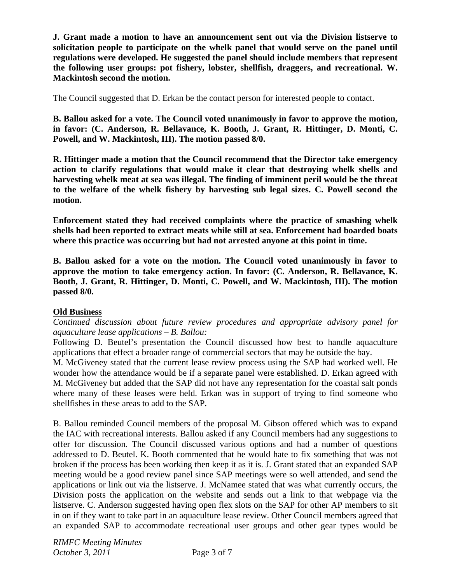**J. Grant made a motion to have an announcement sent out via the Division listserve to solicitation people to participate on the whelk panel that would serve on the panel until regulations were developed. He suggested the panel should include members that represent the following user groups: pot fishery, lobster, shellfish, draggers, and recreational. W. Mackintosh second the motion.** 

The Council suggested that D. Erkan be the contact person for interested people to contact.

**B. Ballou asked for a vote. The Council voted unanimously in favor to approve the motion, in favor: (C. Anderson, R. Bellavance, K. Booth, J. Grant, R. Hittinger, D. Monti, C. Powell, and W. Mackintosh, III). The motion passed 8/0.** 

**R. Hittinger made a motion that the Council recommend that the Director take emergency action to clarify regulations that would make it clear that destroying whelk shells and harvesting whelk meat at sea was illegal. The finding of imminent peril would be the threat to the welfare of the whelk fishery by harvesting sub legal sizes. C. Powell second the motion.** 

**Enforcement stated they had received complaints where the practice of smashing whelk shells had been reported to extract meats while still at sea. Enforcement had boarded boats where this practice was occurring but had not arrested anyone at this point in time.** 

**B. Ballou asked for a vote on the motion. The Council voted unanimously in favor to approve the motion to take emergency action. In favor: (C. Anderson, R. Bellavance, K. Booth, J. Grant, R. Hittinger, D. Monti, C. Powell, and W. Mackintosh, III). The motion passed 8/0.** 

# **Old Business**

*Continued discussion about future review procedures and appropriate advisory panel for aquaculture lease applications – B. Ballou:* 

Following D. Beutel's presentation the Council discussed how best to handle aquaculture applications that effect a broader range of commercial sectors that may be outside the bay.

M. McGiveney stated that the current lease review process using the SAP had worked well. He wonder how the attendance would be if a separate panel were established. D. Erkan agreed with M. McGiveney but added that the SAP did not have any representation for the coastal salt ponds where many of these leases were held. Erkan was in support of trying to find someone who shellfishes in these areas to add to the SAP.

B. Ballou reminded Council members of the proposal M. Gibson offered which was to expand the IAC with recreational interests. Ballou asked if any Council members had any suggestions to offer for discussion. The Council discussed various options and had a number of questions addressed to D. Beutel. K. Booth commented that he would hate to fix something that was not broken if the process has been working then keep it as it is. J. Grant stated that an expanded SAP meeting would be a good review panel since SAP meetings were so well attended, and send the applications or link out via the listserve. J. McNamee stated that was what currently occurs, the Division posts the application on the website and sends out a link to that webpage via the listserve. C. Anderson suggested having open flex slots on the SAP for other AP members to sit in on if they want to take part in an aquaculture lease review. Other Council members agreed that an expanded SAP to accommodate recreational user groups and other gear types would be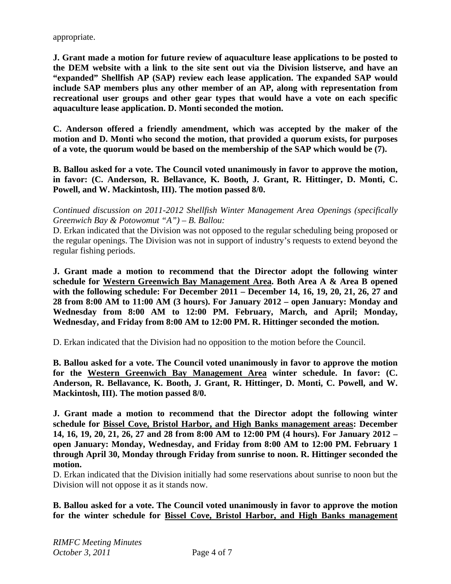appropriate.

**J. Grant made a motion for future review of aquaculture lease applications to be posted to the DEM website with a link to the site sent out via the Division listserve, and have an "expanded" Shellfish AP (SAP) review each lease application. The expanded SAP would include SAP members plus any other member of an AP, along with representation from recreational user groups and other gear types that would have a vote on each specific aquaculture lease application. D. Monti seconded the motion.** 

**C. Anderson offered a friendly amendment, which was accepted by the maker of the motion and D. Monti who second the motion, that provided a quorum exists, for purposes of a vote, the quorum would be based on the membership of the SAP which would be (7).** 

**B. Ballou asked for a vote. The Council voted unanimously in favor to approve the motion, in favor: (C. Anderson, R. Bellavance, K. Booth, J. Grant, R. Hittinger, D. Monti, C. Powell, and W. Mackintosh, III). The motion passed 8/0.** 

*Continued discussion on 2011-2012 Shellfish Winter Management Area Openings (specifically Greenwich Bay & Potowomut "A") – B. Ballou:* 

D. Erkan indicated that the Division was not opposed to the regular scheduling being proposed or the regular openings. The Division was not in support of industry's requests to extend beyond the regular fishing periods.

**J. Grant made a motion to recommend that the Director adopt the following winter schedule for Western Greenwich Bay Management Area. Both Area A & Area B opened with the following schedule: For December 2011 – December 14, 16, 19, 20, 21, 26, 27 and 28 from 8:00 AM to 11:00 AM (3 hours). For January 2012 – open January: Monday and Wednesday from 8:00 AM to 12:00 PM. February, March, and April; Monday, Wednesday, and Friday from 8:00 AM to 12:00 PM. R. Hittinger seconded the motion.** 

D. Erkan indicated that the Division had no opposition to the motion before the Council.

**B. Ballou asked for a vote. The Council voted unanimously in favor to approve the motion for the Western Greenwich Bay Management Area winter schedule. In favor: (C. Anderson, R. Bellavance, K. Booth, J. Grant, R. Hittinger, D. Monti, C. Powell, and W. Mackintosh, III). The motion passed 8/0.** 

**J. Grant made a motion to recommend that the Director adopt the following winter schedule for Bissel Cove, Bristol Harbor, and High Banks management areas: December 14, 16, 19, 20, 21, 26, 27 and 28 from 8:00 AM to 12:00 PM (4 hours). For January 2012 – open January: Monday, Wednesday, and Friday from 8:00 AM to 12:00 PM. February 1 through April 30, Monday through Friday from sunrise to noon. R. Hittinger seconded the motion.** 

D. Erkan indicated that the Division initially had some reservations about sunrise to noon but the Division will not oppose it as it stands now.

**B. Ballou asked for a vote. The Council voted unanimously in favor to approve the motion for the winter schedule for Bissel Cove, Bristol Harbor, and High Banks management**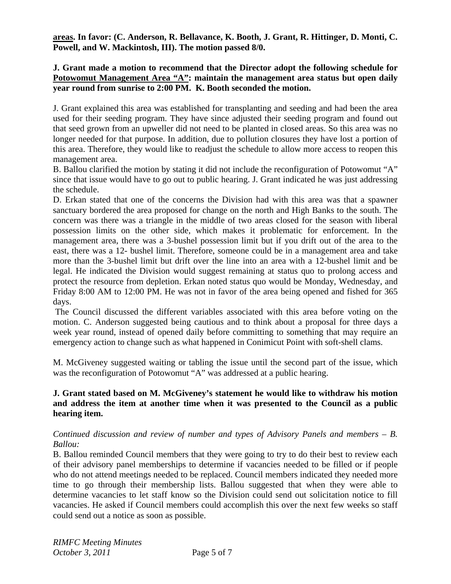**areas. In favor: (C. Anderson, R. Bellavance, K. Booth, J. Grant, R. Hittinger, D. Monti, C. Powell, and W. Mackintosh, III). The motion passed 8/0.** 

## **J. Grant made a motion to recommend that the Director adopt the following schedule for**  Potowomut Management Area "A": maintain the management area status but open daily **year round from sunrise to 2:00 PM. K. Booth seconded the motion.**

J. Grant explained this area was established for transplanting and seeding and had been the area used for their seeding program. They have since adjusted their seeding program and found out that seed grown from an upweller did not need to be planted in closed areas. So this area was no longer needed for that purpose. In addition, due to pollution closures they have lost a portion of this area. Therefore, they would like to readjust the schedule to allow more access to reopen this management area.

B. Ballou clarified the motion by stating it did not include the reconfiguration of Potowomut "A" since that issue would have to go out to public hearing. J. Grant indicated he was just addressing the schedule.

D. Erkan stated that one of the concerns the Division had with this area was that a spawner sanctuary bordered the area proposed for change on the north and High Banks to the south. The concern was there was a triangle in the middle of two areas closed for the season with liberal possession limits on the other side, which makes it problematic for enforcement. In the management area, there was a 3-bushel possession limit but if you drift out of the area to the east, there was a 12- bushel limit. Therefore, someone could be in a management area and take more than the 3-bushel limit but drift over the line into an area with a 12-bushel limit and be legal. He indicated the Division would suggest remaining at status quo to prolong access and protect the resource from depletion. Erkan noted status quo would be Monday, Wednesday, and Friday 8:00 AM to 12:00 PM. He was not in favor of the area being opened and fished for 365 days.

 The Council discussed the different variables associated with this area before voting on the motion. C. Anderson suggested being cautious and to think about a proposal for three days a week year round, instead of opened daily before committing to something that may require an emergency action to change such as what happened in Conimicut Point with soft-shell clams.

M. McGiveney suggested waiting or tabling the issue until the second part of the issue, which was the reconfiguration of Potowomut "A" was addressed at a public hearing.

## **J. Grant stated based on M. McGiveney's statement he would like to withdraw his motion and address the item at another time when it was presented to the Council as a public hearing item.**

## *Continued discussion and review of number and types of Advisory Panels and members – B. Ballou:*

B. Ballou reminded Council members that they were going to try to do their best to review each of their advisory panel memberships to determine if vacancies needed to be filled or if people who do not attend meetings needed to be replaced. Council members indicated they needed more time to go through their membership lists. Ballou suggested that when they were able to determine vacancies to let staff know so the Division could send out solicitation notice to fill vacancies. He asked if Council members could accomplish this over the next few weeks so staff could send out a notice as soon as possible.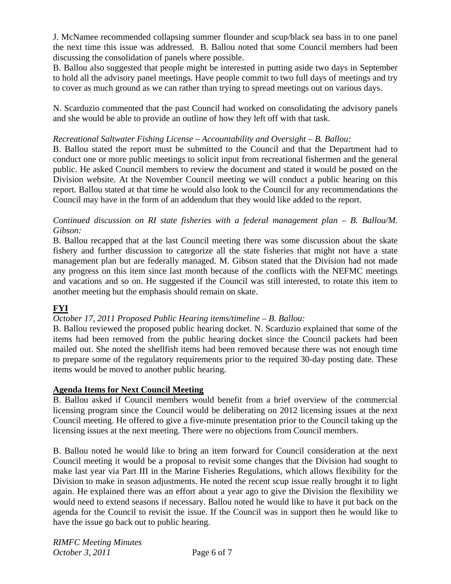J. McNamee recommended collapsing summer flounder and scup/black sea bass in to one panel the next time this issue was addressed. B. Ballou noted that some Council members had been discussing the consolidation of panels where possible.

B. Ballou also suggested that people might be interested in putting aside two days in September to hold all the advisory panel meetings. Have people commit to two full days of meetings and try to cover as much ground as we can rather than trying to spread meetings out on various days.

N. Scarduzio commented that the past Council had worked on consolidating the advisory panels and she would be able to provide an outline of how they left off with that task.

# *Recreational Saltwater Fishing License – Accountability and Oversight – B. Ballou:*

B. Ballou stated the report must be submitted to the Council and that the Department had to conduct one or more public meetings to solicit input from recreational fishermen and the general public. He asked Council members to review the document and stated it would be posted on the Division website. At the November Council meeting we will conduct a public hearing on this report. Ballou stated at that time he would also look to the Council for any recommendations the Council may have in the form of an addendum that they would like added to the report.

## *Continued discussion on RI state fisheries with a federal management plan – B. Ballou/M. Gibson:*

B. Ballou recapped that at the last Council meeting there was some discussion about the skate fishery and further discussion to categorize all the state fisheries that might not have a state management plan but are federally managed. M. Gibson stated that the Division had not made any progress on this item since last month because of the conflicts with the NEFMC meetings and vacations and so on. He suggested if the Council was still interested, to rotate this item to another meeting but the emphasis should remain on skate.

# **FYI**

# *October 17, 2011 Proposed Public Hearing items/timeline – B. Ballou:*

B. Ballou reviewed the proposed public hearing docket. N. Scarduzio explained that some of the items had been removed from the public hearing docket since the Council packets had been mailed out. She noted the shellfish items had been removed because there was not enough time to prepare some of the regulatory requirements prior to the required 30-day posting date. These items would be moved to another public hearing.

# **Agenda Items for Next Council Meeting**

B. Ballou asked if Council members would benefit from a brief overview of the commercial licensing program since the Council would be deliberating on 2012 licensing issues at the next Council meeting. He offered to give a five-minute presentation prior to the Council taking up the licensing issues at the next meeting. There were no objections from Council members.

B. Ballou noted he would like to bring an item forward for Council consideration at the next Council meeting it would be a proposal to revisit some changes that the Division had sought to make last year via Part III in the Marine Fisheries Regulations, which allows flexibility for the Division to make in season adjustments. He noted the recent scup issue really brought it to light again. He explained there was an effort about a year ago to give the Division the flexibility we would need to extend seasons if necessary. Ballou noted he would like to have it put back on the agenda for the Council to revisit the issue. If the Council was in support then he would like to have the issue go back out to public hearing.